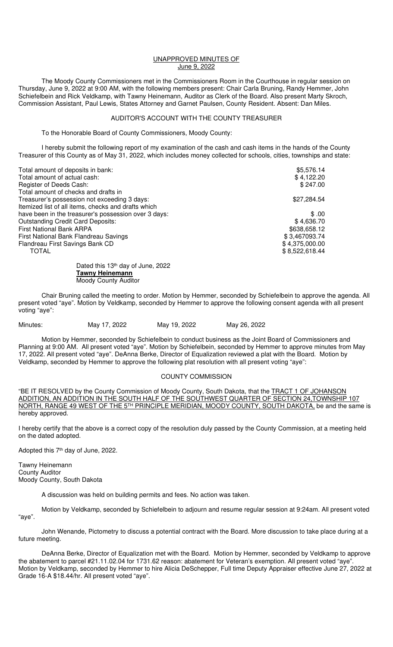## UNAPPROVED MINUTES OF June 9, 2022

 The Moody County Commissioners met in the Commissioners Room in the Courthouse in regular session on Thursday, June 9, 2022 at 9:00 AM, with the following members present: Chair Carla Bruning, Randy Hemmer, John Schiefelbein and Rick Veldkamp, with Tawny Heinemann, Auditor as Clerk of the Board. Also present Marty Skroch, Commission Assistant, Paul Lewis, States Attorney and Garnet Paulsen, County Resident. Absent: Dan Miles.

## AUDITOR'S ACCOUNT WITH THE COUNTY TREASURER

To the Honorable Board of County Commissioners, Moody County:

 I hereby submit the following report of my examination of the cash and cash items in the hands of the County Treasurer of this County as of May 31, 2022, which includes money collected for schools, cities, townships and state:

| Total amount of deposits in bank:                    | \$5,576.14     |
|------------------------------------------------------|----------------|
| Total amount of actual cash:                         | \$4,122.20     |
| Register of Deeds Cash:                              | \$247.00       |
| Total amount of checks and drafts in                 |                |
| Treasurer's possession not exceeding 3 days:         | \$27,284.54    |
| Itemized list of all items, checks and drafts which  |                |
| have been in the treasurer's possession over 3 days: | \$.00          |
| <b>Outstanding Credit Card Deposits:</b>             | \$4,636.70     |
| <b>First National Bank ARPA</b>                      | \$638,658.12   |
| First National Bank Flandreau Savings                | \$3,467093.74  |
| Flandreau First Savings Bank CD                      | \$4,375,000.00 |
| TOTAL                                                | \$8,522,618.44 |
| Dated this 13th day of June 2022                     |                |

13<sup>th</sup> day of June, 2022 **Tawny Heinemann**  Moody County Auditor

Chair Bruning called the meeting to order. Motion by Hemmer, seconded by Schiefelbein to approve the agenda. All present voted "aye". Motion by Veldkamp, seconded by Hemmer to approve the following consent agenda with all present voting "aye":

Minutes: May 17, 2022 May 19, 2022 May 26, 2022

Motion by Hemmer, seconded by Schiefelbein to conduct business as the Joint Board of Commissioners and Planning at 9:00 AM. All present voted "aye". Motion by Schiefelbein, seconded by Hemmer to approve minutes from May 17, 2022. All present voted "aye". DeAnna Berke, Director of Equalization reviewed a plat with the Board. Motion by Veldkamp, seconded by Hemmer to approve the following plat resolution with all present voting "aye":

## COUNTY COMMISSION

"BE IT RESOLVED by the County Commission of Moody County, South Dakota, that the **TRACT 1 OF JOHANSON** ADDITION, AN ADDITION IN THE SOUTH HALF OF THE SOUTHWEST QUARTER OF SECTION 24,TOWNSHIP 107 NORTH, RANGE 49 WEST OF THE 5<sup>TH</sup> PRINCIPLE MERIDIAN, MOODY COUNTY, SOUTH DAKOTA, be and the same is hereby approved.

I hereby certify that the above is a correct copy of the resolution duly passed by the County Commission, at a meeting held on the dated adopted.

Adopted this 7<sup>th</sup> day of June, 2022.

Tawny Heinemann County Auditor Moody County, South Dakota

A discussion was held on building permits and fees. No action was taken.

Motion by Veldkamp, seconded by Schiefelbein to adjourn and resume regular session at 9:24am. All present voted "aye".

John Wenande, Pictometry to discuss a potential contract with the Board. More discussion to take place during at a future meeting.

DeAnna Berke, Director of Equalization met with the Board. Motion by Hemmer, seconded by Veldkamp to approve the abatement to parcel #21.11.02.04 for 1731.62 reason: abatement for Veteran's exemption. All present voted "aye". Motion by Veldkamp, seconded by Hemmer to hire Alicia DeSchepper, Full time Deputy Appraiser effective June 27, 2022 at Grade 16-A \$18.44/hr. All present voted "aye".